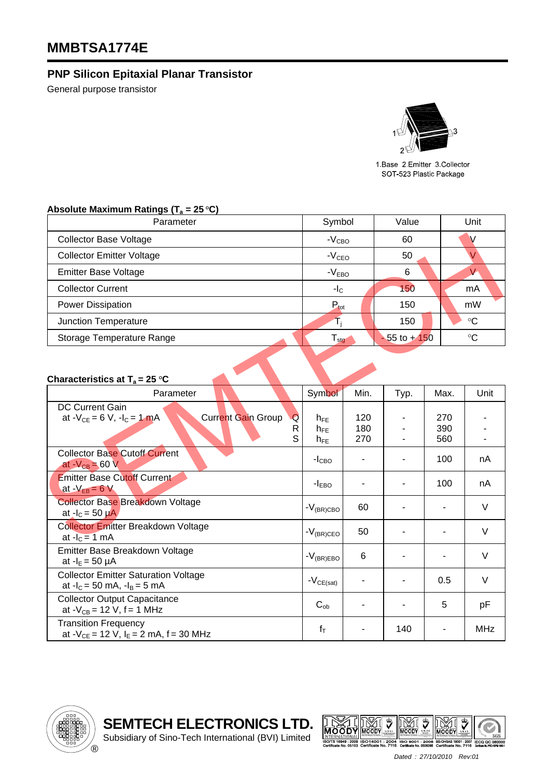## **MMBTSA1774E**

## **PNP Silicon Epitaxial Planar Transistor**

General purpose transistor



1.Base 2.Emitter 3.Collector SOT-523 Plastic Package

## Absolute Maximum Ratings (T<sub>a</sub> = 25 °C)

| Parameter                        | Symbol                      | Value           | Unit            |  |
|----------------------------------|-----------------------------|-----------------|-----------------|--|
| <b>Collector Base Voltage</b>    | $-VCBO$                     | 60              |                 |  |
| <b>Collector Emitter Voltage</b> | $-VCEO$                     | 50              |                 |  |
| <b>Emitter Base Voltage</b>      | $-VEBO$                     | 6               |                 |  |
| <b>Collector Current</b>         | $-I_{\rm C}$                | 150             | mA              |  |
| Power Dissipation                | $P_{\text{tot}}$            | 150             | mW              |  |
| Junction Temperature             |                             | 150             | $\rm ^{\circ}C$ |  |
| Storage Temperature Range        | $\mathsf{I}_{\mathsf{stq}}$ | $-55$ to $+150$ | $^{\circ}C$     |  |

## **Characteristics at T<sub>a</sub> = 25 °C**

| <b>Collector Base Voltage</b>                                                                            | $-V_{\rm CBO}$                   |                   | 60                       |                          | V               |  |
|----------------------------------------------------------------------------------------------------------|----------------------------------|-------------------|--------------------------|--------------------------|-----------------|--|
| <b>Collector Emitter Voltage</b>                                                                         | $-VCEO$                          |                   | 50                       |                          | $\overline{V}$  |  |
| <b>Emitter Base Voltage</b>                                                                              | $-VEBO$                          |                   | 6                        |                          | $\vee$          |  |
| <b>Collector Current</b>                                                                                 | $-IC$                            |                   | 150                      |                          | mA              |  |
| Power Dissipation                                                                                        | $P_{\text{tot}}$                 |                   | 150                      |                          | mW              |  |
| Junction Temperature                                                                                     | $T_i$<br>150                     |                   |                          | $\rm ^{\circ}C$          |                 |  |
| Storage Temperature Range                                                                                | $T_{\text{stg}}$                 |                   | $-55$ to $+150$          |                          | $\rm ^{\circ}C$ |  |
| Characteristics at $T_a = 25 \text{ }^{\circ}C$                                                          |                                  |                   |                          |                          |                 |  |
| Parameter                                                                                                | Symbol                           | Min.              | Typ.                     | Max.                     | Unit            |  |
| <b>DC</b> Current Gain<br><b>Current Gain Group</b><br>at $-V_{CE} = 6 V$ , $-I_C = 1 mA$<br>Q<br>R<br>S | $h_{FE}$<br>$h_{FE}$<br>$h_{FE}$ | 120<br>180<br>270 |                          | 270<br>390<br>560        |                 |  |
| <b>Collector Base Cutoff Current</b><br>at $-V_{CB} = 60 V$                                              | $-ICBO$                          | ۰                 |                          | 100                      | nA              |  |
| <b>Emitter Base Cutoff Current</b><br>at $-V_{EB} = 6 V$                                                 | $-I_{EBO}$                       |                   |                          | 100                      | nA              |  |
| <b>Collector Base Breakdown Voltage</b><br>at $-I_c = 50 \mu A$                                          | $-V_{(BR)CBO}$                   | 60                | $\overline{\phantom{a}}$ | $\overline{\phantom{a}}$ | $\vee$          |  |
| <b>Collector Emitter Breakdown Voltage</b><br>at $-IC = 1$ mA                                            | $-V_{(BR)CEO}$                   | 50                |                          |                          | $\vee$          |  |
| Emitter Base Breakdown Voltage<br>at $-I_E = 50 \mu A$                                                   | $-V_{\rm (BR) EBO}$              | 6                 |                          |                          | V               |  |
| <b>Collector Emitter Saturation Voltage</b><br>at $-I_c = 50$ mA, $-I_B = 5$ mA                          | $-V_{CE(sat)}$                   |                   | ۰                        | 0.5                      | V               |  |
| <b>Collector Output Capacitance</b><br>at $-V_{CB} = 12 V$ , f = 1 MHz                                   | $C_{ob}$                         |                   |                          | 5                        | pF              |  |
| <b>Transition Frequency</b><br>at $-V_{CE}$ = 12 V, I <sub>E</sub> = 2 mA, f = 30 MHz                    | $f_T$                            |                   | 140                      |                          | <b>MHz</b>      |  |